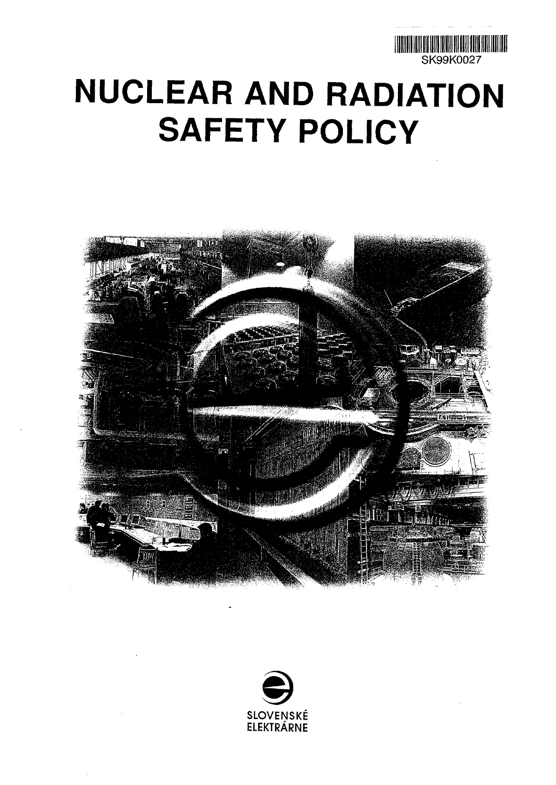

## **NUCLEAR AND RADIATION SAFETY POLICY**



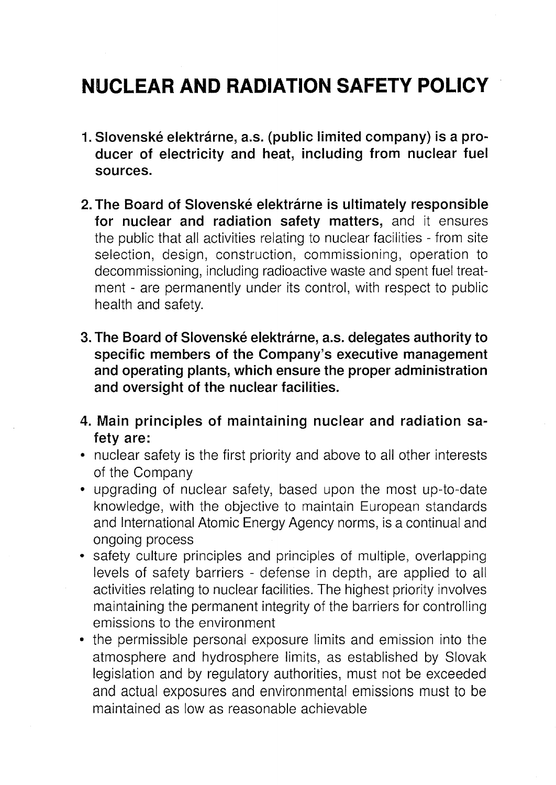## **NUCLEAR AND RADIATION SAFETY POLICY**

- **1. Slovenske elektrarne, a.s. (public limited company) is a producer of electricity and heat, including from nuclear fuel sources.**
- 2. The Board of Slovenské elektrárne is ultimately responsible **for nuclear and radiation safety matters,** and it ensures the public that all activities relating to nuclear facilities - from site selection, design, construction, commissioning, operation to decommissioning, including radioactive waste and spent fuel treatment - are permanently under its control, with respect to public health and safety.
- **3. The Board of Slovenske elektrarne, a.s. delegates authority to specific members of the Company's executive management and operating plants, which ensure the proper administration and oversight of the nuclear facilities.**
- **4. Main principles of maintaining nuclear and radiation safety are:**
- nuclear safety is the first priority and above to all other interests of the Company
- upgrading of nuclear safety, based upon the most up-to-date knowledge, with the objective to maintain European standards and International Atomic Energy Agency norms, is a continual and ongoing process
- safety culture principles and principles of multiple, overlapping levels of safety barriers - defense in depth, are applied to all activities relating to nuclear facilities. The highest priority involves maintaining the permanent integrity of the barriers for controlling emissions to the environment
- the permissible personal exposure limits and emission into the atmosphere and hydrosphere limits, as established by Slovak legislation and by regulatory authorities, must not be exceeded and actual exposures and environmental emissions must to be maintained as low as reasonable achievable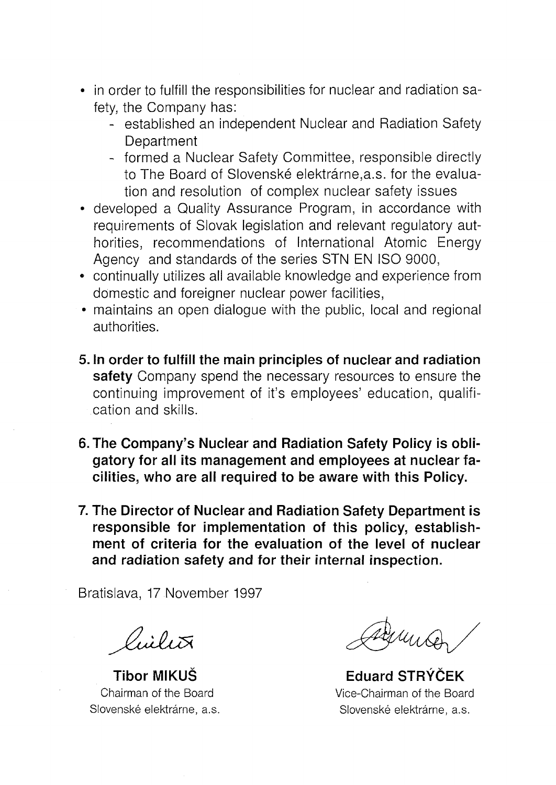- in order to fulfill the responsibilities for nuclear and radiation safety, the Company has:
	- established an independent Nuclear and Radiation Safety **Department**
	- formed a Nuclear Safety Committee, responsible directly to The Board of Slovenské elektrárne, a.s. for the evaluation and resolution of complex nuclear safety issues
- developed a Quality Assurance Program, in accordance with requirements of Slovak legislation and relevant regulatory authorities, recommendations of International Atomic Energy Agency and standards of the series STN EN ISO 9000,
- continually utilizes all available knowledge and experience from domestic and foreigner nuclear power facilities,
- maintains an open dialogue with the public, local and regional authorities.
- **5. In order to fulfill the main principles of nuclear and radiation safety** Company spend the necessary resources to ensure the continuing improvement of it's employees' education, qualification and skills.
- **6. The Company's Nuclear and Radiation Safety Policy is obligatory for all its management and employees at nuclear facilities, who are all required to be aware with this Policy.**
- **7. The Director of Nuclear and Radiation Safety Department is responsible for implementation of this policy, establishment of criteria for the evaluation of the level of nuclear and radiation safety and for their internal inspection.**

Bratislava, 17 November 1997

Viilit

**Tibor MIKUS Eduard STRYCEK** Chairman of the Board Vice-Chairman of the Board Slovenské elektrárne, a.s. (Slovenské elektrárne, a.s. Slovenské elektrárne, a.s.